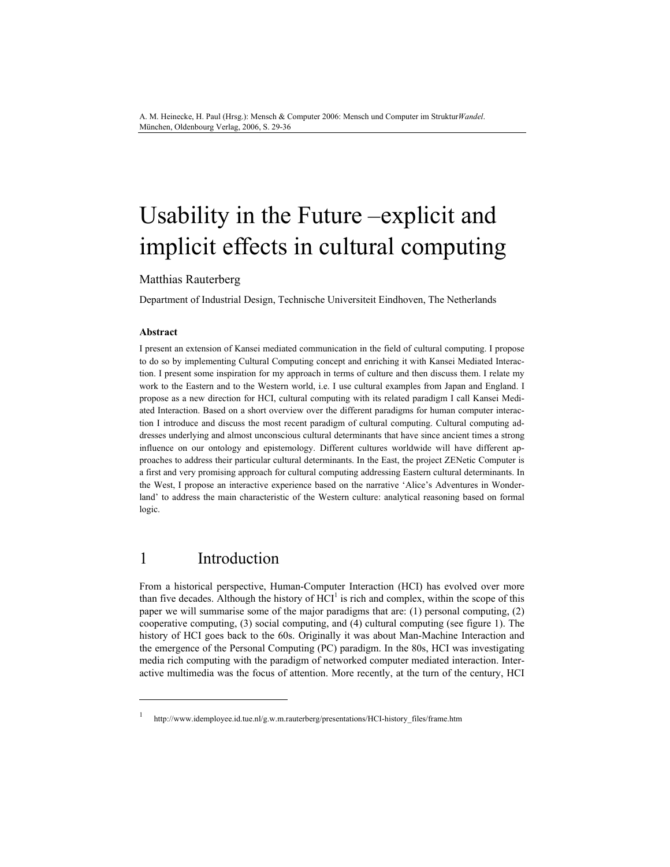# Usability in the Future –explicit and implicit effects in cultural computing

#### Matthias Rauterberg

Department of Industrial Design, Technische Universiteit Eindhoven, The Netherlands

#### **Abstract**

l 1

I present an extension of Kansei mediated communication in the field of cultural computing. I propose to do so by implementing Cultural Computing concept and enriching it with Kansei Mediated Interaction. I present some inspiration for my approach in terms of culture and then discuss them. I relate my work to the Eastern and to the Western world, i.e. I use cultural examples from Japan and England. I propose as a new direction for HCI, cultural computing with its related paradigm I call Kansei Mediated Interaction. Based on a short overview over the different paradigms for human computer interaction I introduce and discuss the most recent paradigm of cultural computing. Cultural computing addresses underlying and almost unconscious cultural determinants that have since ancient times a strong influence on our ontology and epistemology. Different cultures worldwide will have different approaches to address their particular cultural determinants. In the East, the project ZENetic Computer is a first and very promising approach for cultural computing addressing Eastern cultural determinants. In the West, I propose an interactive experience based on the narrative 'Alice's Adventures in Wonderland' to address the main characteristic of the Western culture: analytical reasoning based on formal logic.

## 1 Introduction

From a historical perspective, Human-Computer Interaction (HCI) has evolved over more than five decades. Although the history of  $HCI<sup>1</sup>$  is rich and complex, within the scope of this paper we will summarise some of the major paradigms that are: (1) personal computing, (2) cooperative computing, (3) social computing, and (4) cultural computing (see figure 1). The history of HCI goes back to the 60s. Originally it was about Man-Machine Interaction and the emergence of the Personal Computing (PC) paradigm. In the 80s, HCI was investigating media rich computing with the paradigm of networked computer mediated interaction. Interactive multimedia was the focus of attention. More recently, at the turn of the century, HCI

http://www.idemployee.id.tue.nl/g.w.m.rauterberg/presentations/HCI-history\_files/frame.htm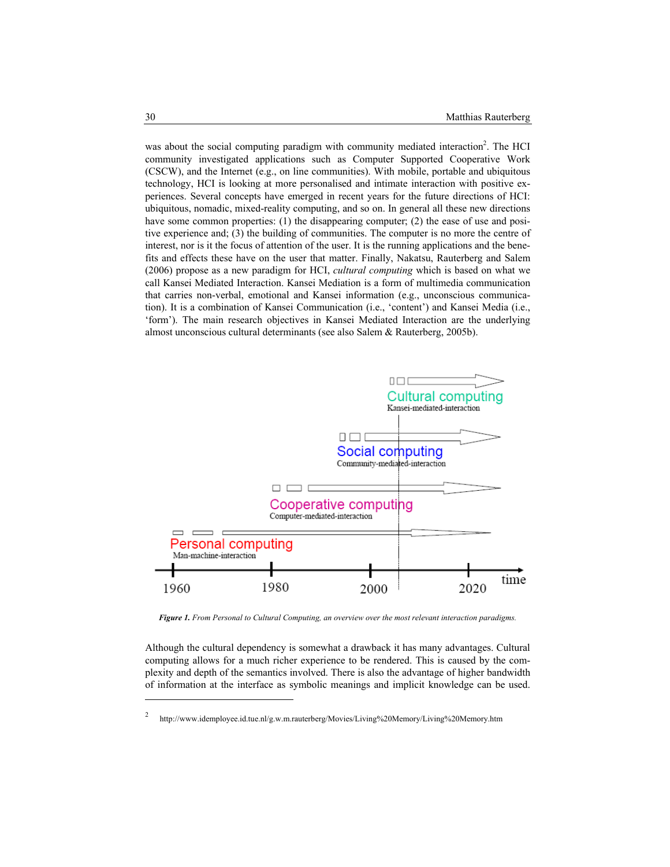was about the social computing paradigm with community mediated interaction<sup>2</sup>. The HCI community investigated applications such as Computer Supported Cooperative Work (CSCW), and the Internet (e.g., on line communities). With mobile, portable and ubiquitous technology, HCI is looking at more personalised and intimate interaction with positive experiences. Several concepts have emerged in recent years for the future directions of HCI: ubiquitous, nomadic, mixed-reality computing, and so on. In general all these new directions have some common properties: (1) the disappearing computer; (2) the ease of use and positive experience and; (3) the building of communities. The computer is no more the centre of interest, nor is it the focus of attention of the user. It is the running applications and the benefits and effects these have on the user that matter. Finally, Nakatsu, Rauterberg and Salem (2006) propose as a new paradigm for HCI, *cultural computing* which is based on what we call Kansei Mediated Interaction. Kansei Mediation is a form of multimedia communication that carries non-verbal, emotional and Kansei information (e.g., unconscious communication). It is a combination of Kansei Communication (i.e., 'content') and Kansei Media (i.e., 'form'). The main research objectives in Kansei Mediated Interaction are the underlying almost unconscious cultural determinants (see also Salem & Rauterberg, 2005b).



*Figure 1. From Personal to Cultural Computing, an overview over the most relevant interaction paradigms.* 

Although the cultural dependency is somewhat a drawback it has many advantages. Cultural computing allows for a much richer experience to be rendered. This is caused by the complexity and depth of the semantics involved. There is also the advantage of higher bandwidth of information at the interface as symbolic meanings and implicit knowledge can be used.

 $\overline{a}$ 

<sup>2</sup> http://www.idemployee.id.tue.nl/g.w.m.rauterberg/Movies/Living%20Memory/Living%20Memory.htm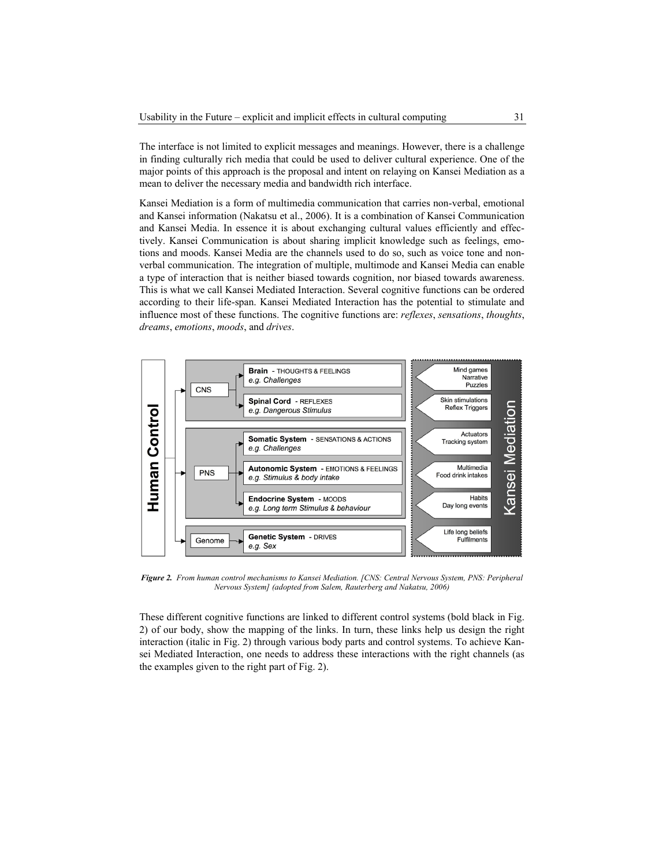The interface is not limited to explicit messages and meanings. However, there is a challenge in finding culturally rich media that could be used to deliver cultural experience. One of the major points of this approach is the proposal and intent on relaying on Kansei Mediation as a mean to deliver the necessary media and bandwidth rich interface.

Kansei Mediation is a form of multimedia communication that carries non-verbal, emotional and Kansei information (Nakatsu et al., 2006). It is a combination of Kansei Communication and Kansei Media. In essence it is about exchanging cultural values efficiently and effectively. Kansei Communication is about sharing implicit knowledge such as feelings, emotions and moods. Kansei Media are the channels used to do so, such as voice tone and nonverbal communication. The integration of multiple, multimode and Kansei Media can enable a type of interaction that is neither biased towards cognition, nor biased towards awareness. This is what we call Kansei Mediated Interaction. Several cognitive functions can be ordered according to their life-span. Kansei Mediated Interaction has the potential to stimulate and influence most of these functions. The cognitive functions are: *reflexes*, *sensations*, *thoughts*, *dreams*, *emotions*, *moods*, and *drives*.



*Figure 2. From human control mechanisms to Kansei Mediation. [CNS: Central Nervous System, PNS: Peripheral Nervous System] (adopted from Salem, Rauterberg and Nakatsu, 2006)* 

These different cognitive functions are linked to different control systems (bold black in Fig. 2) of our body, show the mapping of the links. In turn, these links help us design the right interaction (italic in Fig. 2) through various body parts and control systems. To achieve Kansei Mediated Interaction, one needs to address these interactions with the right channels (as the examples given to the right part of Fig. 2).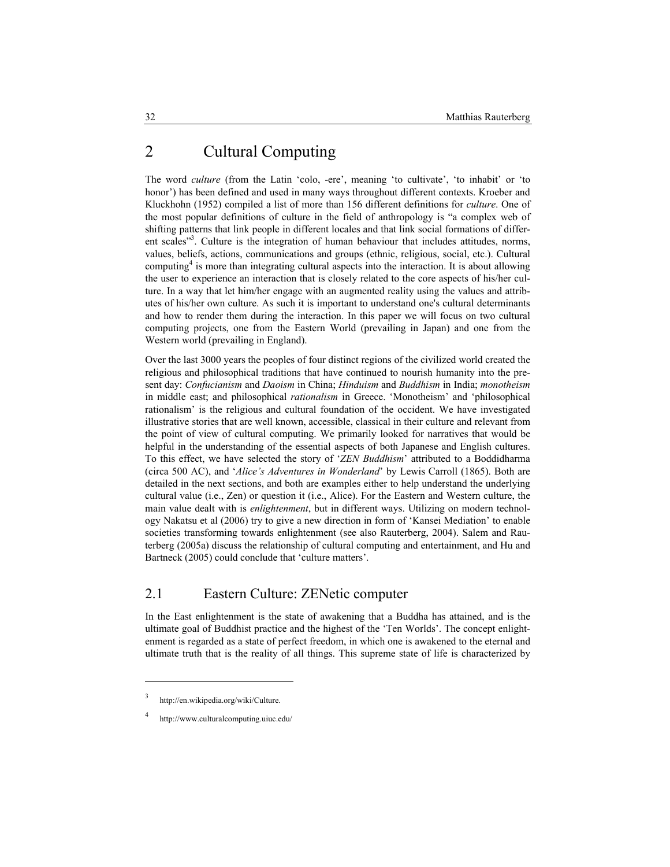# 2 Cultural Computing

The word *culture* (from the Latin 'colo, -ere', meaning 'to cultivate', 'to inhabit' or 'to honor') has been defined and used in many ways throughout different contexts. Kroeber and Kluckhohn (1952) compiled a list of more than 156 different definitions for *culture*. One of the most popular definitions of culture in the field of anthropology is "a complex web of shifting patterns that link people in different locales and that link social formations of different scales"<sup>3</sup>. Culture is the integration of human behaviour that includes attitudes, norms, values, beliefs, actions, communications and groups (ethnic, religious, social, etc.). Cultural computing<sup>4</sup> is more than integrating cultural aspects into the interaction. It is about allowing the user to experience an interaction that is closely related to the core aspects of his/her culture. In a way that let him/her engage with an augmented reality using the values and attributes of his/her own culture. As such it is important to understand one's cultural determinants and how to render them during the interaction. In this paper we will focus on two cultural computing projects, one from the Eastern World (prevailing in Japan) and one from the Western world (prevailing in England).

Over the last 3000 years the peoples of four distinct regions of the civilized world created the religious and philosophical traditions that have continued to nourish humanity into the present day: *Confucianism* and *Daoism* in China; *Hinduism* and *Buddhism* in India; *monotheism* in middle east; and philosophical *rationalism* in Greece. 'Monotheism' and 'philosophical rationalism' is the religious and cultural foundation of the occident. We have investigated illustrative stories that are well known, accessible, classical in their culture and relevant from the point of view of cultural computing. We primarily looked for narratives that would be helpful in the understanding of the essential aspects of both Japanese and English cultures. To this effect, we have selected the story of '*ZEN Buddhism*' attributed to a Boddidharma (circa 500 AC), and '*Alice's Adventures in Wonderland*' by Lewis Carroll (1865). Both are detailed in the next sections, and both are examples either to help understand the underlying cultural value (i.e., Zen) or question it (i.e., Alice). For the Eastern and Western culture, the main value dealt with is *enlightenment*, but in different ways. Utilizing on modern technology Nakatsu et al (2006) try to give a new direction in form of 'Kansei Mediation' to enable societies transforming towards enlightenment (see also Rauterberg, 2004). Salem and Rauterberg (2005a) discuss the relationship of cultural computing and entertainment, and Hu and Bartneck (2005) could conclude that 'culture matters'.

#### 2.1 Eastern Culture: ZENetic computer

In the East enlightenment is the state of awakening that a Buddha has attained, and is the ultimate goal of Buddhist practice and the highest of the 'Ten Worlds'. The concept enlightenment is regarded as a state of perfect freedom, in which one is awakened to the eternal and ultimate truth that is the reality of all things. This supreme state of life is characterized by

 $\overline{a}$ 

<sup>3</sup> http://en.wikipedia.org/wiki/Culture.

<sup>4</sup> http://www.culturalcomputing.uiuc.edu/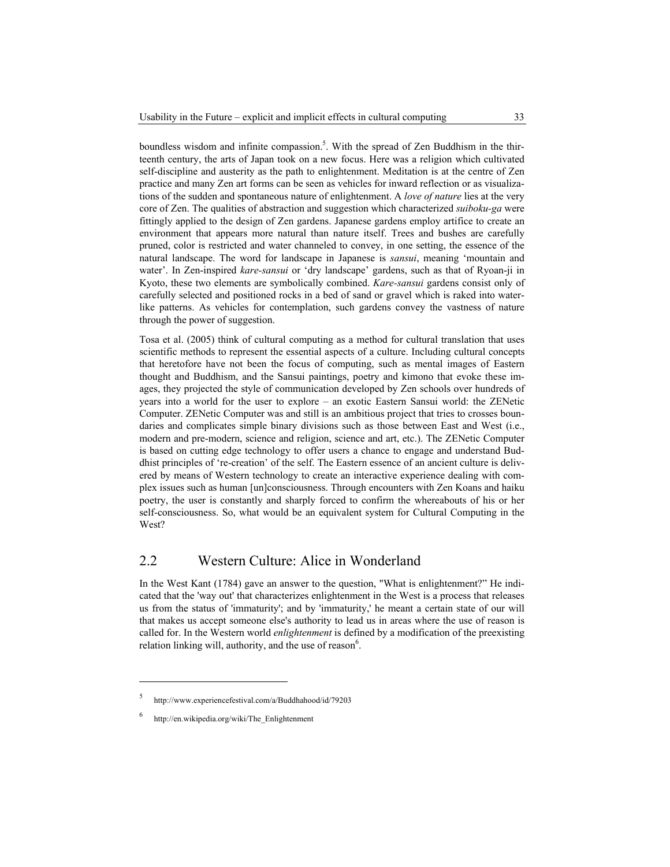boundless wisdom and infinite compassion.<sup>5</sup>. With the spread of Zen Buddhism in the thirteenth century, the arts of Japan took on a new focus. Here was a religion which cultivated self-discipline and austerity as the path to enlightenment. Meditation is at the centre of Zen practice and many Zen art forms can be seen as vehicles for inward reflection or as visualizations of the sudden and spontaneous nature of enlightenment. A *love of nature* lies at the very core of Zen. The qualities of abstraction and suggestion which characterized *suiboku-ga* were fittingly applied to the design of Zen gardens. Japanese gardens employ artifice to create an environment that appears more natural than nature itself. Trees and bushes are carefully pruned, color is restricted and water channeled to convey, in one setting, the essence of the natural landscape. The word for landscape in Japanese is *sansui*, meaning 'mountain and water'. In Zen-inspired *kare-sansui* or 'dry landscape' gardens, such as that of Ryoan-ji in Kyoto, these two elements are symbolically combined. *Kare-sansui* gardens consist only of carefully selected and positioned rocks in a bed of sand or gravel which is raked into waterlike patterns. As vehicles for contemplation, such gardens convey the vastness of nature through the power of suggestion.

Tosa et al. (2005) think of cultural computing as a method for cultural translation that uses scientific methods to represent the essential aspects of a culture. Including cultural concepts that heretofore have not been the focus of computing, such as mental images of Eastern thought and Buddhism, and the Sansui paintings, poetry and kimono that evoke these images, they projected the style of communication developed by Zen schools over hundreds of years into a world for the user to explore – an exotic Eastern Sansui world: the ZENetic Computer. ZENetic Computer was and still is an ambitious project that tries to crosses boundaries and complicates simple binary divisions such as those between East and West (i.e., modern and pre-modern, science and religion, science and art, etc.). The ZENetic Computer is based on cutting edge technology to offer users a chance to engage and understand Buddhist principles of 're-creation' of the self. The Eastern essence of an ancient culture is delivered by means of Western technology to create an interactive experience dealing with complex issues such as human [un]consciousness. Through encounters with Zen Koans and haiku poetry, the user is constantly and sharply forced to confirm the whereabouts of his or her self-consciousness. So, what would be an equivalent system for Cultural Computing in the West?

## 2.2 Western Culture: Alice in Wonderland

In the West Kant (1784) gave an answer to the question, "What is enlightenment?" He indicated that the 'way out' that characterizes enlightenment in the West is a process that releases us from the status of 'immaturity'; and by 'immaturity,' he meant a certain state of our will that makes us accept someone else's authority to lead us in areas where the use of reason is called for. In the Western world *enlightenment* is defined by a modification of the preexisting relation linking will, authority, and the use of reason<sup>6</sup>.

l

<sup>5</sup> http://www.experiencefestival.com/a/Buddhahood/id/79203

<sup>6</sup> http://en.wikipedia.org/wiki/The\_Enlightenment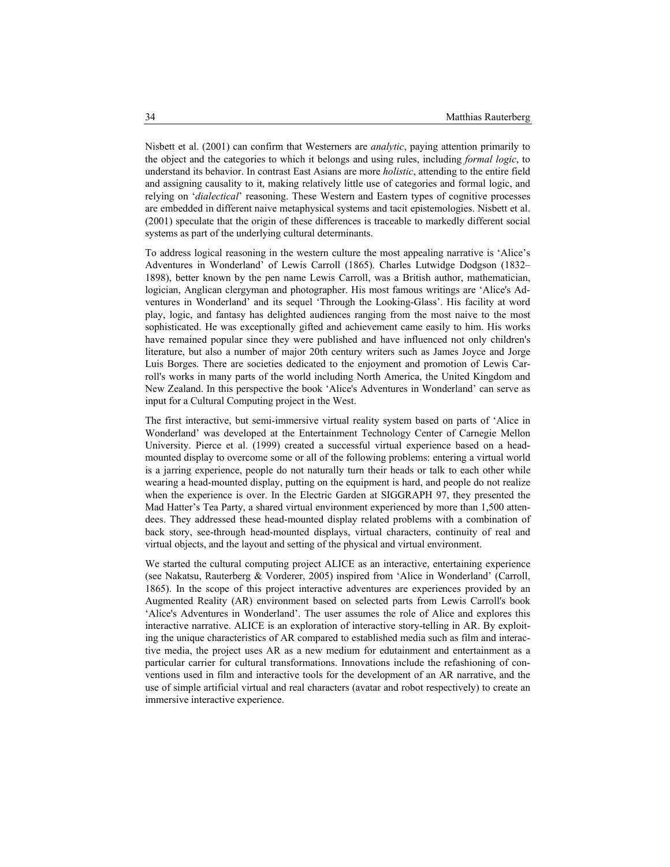Nisbett et al. (2001) can confirm that Westerners are *analytic*, paying attention primarily to the object and the categories to which it belongs and using rules, including *formal logic*, to understand its behavior. In contrast East Asians are more *holistic*, attending to the entire field and assigning causality to it, making relatively little use of categories and formal logic, and relying on '*dialectical*' reasoning. These Western and Eastern types of cognitive processes are embedded in different naive metaphysical systems and tacit epistemologies. Nisbett et al. (2001) speculate that the origin of these differences is traceable to markedly different social systems as part of the underlying cultural determinants.

To address logical reasoning in the western culture the most appealing narrative is 'Alice's Adventures in Wonderland' of Lewis Carroll (1865). Charles Lutwidge Dodgson (1832– 1898), better known by the pen name Lewis Carroll, was a British author, mathematician, logician, Anglican clergyman and photographer. His most famous writings are 'Alice's Adventures in Wonderland' and its sequel 'Through the Looking-Glass'. His facility at word play, logic, and fantasy has delighted audiences ranging from the most naive to the most sophisticated. He was exceptionally gifted and achievement came easily to him. His works have remained popular since they were published and have influenced not only children's literature, but also a number of major 20th century writers such as James Joyce and Jorge Luis Borges. There are societies dedicated to the enjoyment and promotion of Lewis Carroll's works in many parts of the world including North America, the United Kingdom and New Zealand. In this perspective the book 'Alice's Adventures in Wonderland' can serve as input for a Cultural Computing project in the West.

The first interactive, but semi-immersive virtual reality system based on parts of 'Alice in Wonderland' was developed at the Entertainment Technology Center of Carnegie Mellon University. Pierce et al. (1999) created a successful virtual experience based on a headmounted display to overcome some or all of the following problems: entering a virtual world is a jarring experience, people do not naturally turn their heads or talk to each other while wearing a head-mounted display, putting on the equipment is hard, and people do not realize when the experience is over. In the Electric Garden at SIGGRAPH 97, they presented the Mad Hatter's Tea Party, a shared virtual environment experienced by more than 1,500 attendees. They addressed these head-mounted display related problems with a combination of back story, see-through head-mounted displays, virtual characters, continuity of real and virtual objects, and the layout and setting of the physical and virtual environment.

We started the cultural computing project ALICE as an interactive, entertaining experience (see Nakatsu, Rauterberg & Vorderer, 2005) inspired from 'Alice in Wonderland' (Carroll, 1865). In the scope of this project interactive adventures are experiences provided by an Augmented Reality (AR) environment based on selected parts from Lewis Carroll's book 'Alice's Adventures in Wonderland'. The user assumes the role of Alice and explores this interactive narrative. ALICE is an exploration of interactive story-telling in AR. By exploiting the unique characteristics of AR compared to established media such as film and interactive media, the project uses AR as a new medium for edutainment and entertainment as a particular carrier for cultural transformations. Innovations include the refashioning of conventions used in film and interactive tools for the development of an AR narrative, and the use of simple artificial virtual and real characters (avatar and robot respectively) to create an immersive interactive experience.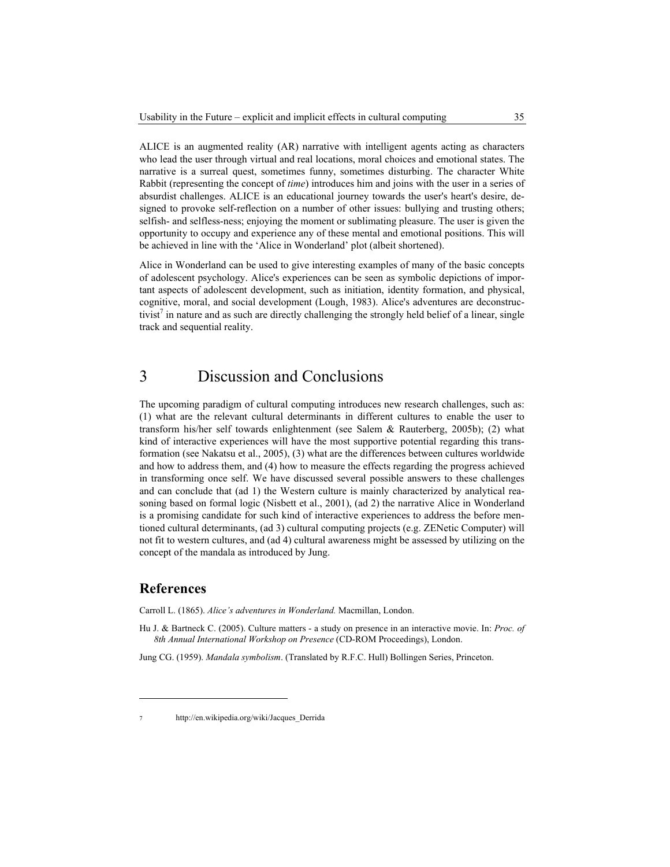ALICE is an augmented reality (AR) narrative with intelligent agents acting as characters who lead the user through virtual and real locations, moral choices and emotional states. The narrative is a surreal quest, sometimes funny, sometimes disturbing. The character White Rabbit (representing the concept of *time*) introduces him and joins with the user in a series of absurdist challenges. ALICE is an educational journey towards the user's heart's desire, designed to provoke self-reflection on a number of other issues: bullying and trusting others; selfish- and selfless-ness; enjoying the moment or sublimating pleasure. The user is given the opportunity to occupy and experience any of these mental and emotional positions. This will be achieved in line with the 'Alice in Wonderland' plot (albeit shortened).

Alice in Wonderland can be used to give interesting examples of many of the basic concepts of adolescent psychology. Alice's experiences can be seen as symbolic depictions of important aspects of adolescent development, such as initiation, identity formation, and physical, cognitive, moral, and social development (Lough, 1983). Alice's adventures are deconstructivist<sup>7</sup> in nature and as such are directly challenging the strongly held belief of a linear, single track and sequential reality.

## 3 Discussion and Conclusions

The upcoming paradigm of cultural computing introduces new research challenges, such as: (1) what are the relevant cultural determinants in different cultures to enable the user to transform his/her self towards enlightenment (see Salem & Rauterberg, 2005b); (2) what kind of interactive experiences will have the most supportive potential regarding this transformation (see Nakatsu et al., 2005), (3) what are the differences between cultures worldwide and how to address them, and (4) how to measure the effects regarding the progress achieved in transforming once self. We have discussed several possible answers to these challenges and can conclude that (ad 1) the Western culture is mainly characterized by analytical reasoning based on formal logic (Nisbett et al., 2001), (ad 2) the narrative Alice in Wonderland is a promising candidate for such kind of interactive experiences to address the before mentioned cultural determinants, (ad 3) cultural computing projects (e.g. ZENetic Computer) will not fit to western cultures, and (ad 4) cultural awareness might be assessed by utilizing on the concept of the mandala as introduced by Jung.

#### **References**

l

Carroll L. (1865). *Alice's adventures in Wonderland.* Macmillan, London.

Hu J. & Bartneck C. (2005). Culture matters - a study on presence in an interactive movie. In: *Proc. of 8th Annual International Workshop on Presence* (CD-ROM Proceedings), London.

Jung CG. (1959). *Mandala symbolism*. (Translated by R.F.C. Hull) Bollingen Series, Princeton.

<sup>7</sup> http://en.wikipedia.org/wiki/Jacques\_Derrida